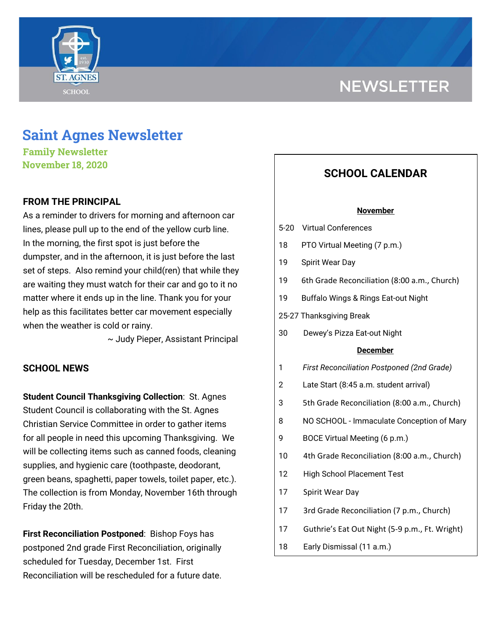



# **Saint Agnes Newsletter**

**Family Newsletter November 18, 2020**

# **FROM THE PRINCIPAL**

As a reminder to drivers for morning and afternoon car lines, please pull up to the end of the yellow curb line. In the morning, the first spot is just before the dumpster, and in the afternoon, it is just before the last set of steps. Also remind your child(ren) that while they are waiting they must watch for their car and go to it no matter where it ends up in the line. Thank you for your help as this facilitates better car movement especially when the weather is cold or rainy.

~ Judy Pieper, Assistant Principal

# **SCHOOL NEWS**

**Student Council Thanksgiving Collection**: St. Agnes Student Council is collaborating with the St. Agnes Christian Service Committee in order to gather items for all people in need this upcoming Thanksgiving. We will be collecting items such as canned foods, cleaning supplies, and hygienic care (toothpaste, deodorant, green beans, spaghetti, paper towels, toilet paper, etc.). The collection is from Monday, November 16th through Friday the 20th.

**First Reconciliation Postponed**: Bishop Foys has postponed 2nd grade First Reconciliation, originally scheduled for Tuesday, December 1st. First Reconciliation will be rescheduled for a future date.

# **SCHOOL CALENDAR**

### **November**

- 5-20 Virtual Conferences
- 18 PTO Virtual Meeting (7 p.m.)
- 19 Spirit Wear Day
- 19 6th Grade Reconciliation (8:00 a.m., Church)
- 19 Buffalo Wings & Rings Eat-out Night
- 25-27 Thanksgiving Break
- 30 Dewey's Pizza Eat-out Night

### **December**

- 1 *First Reconciliation Postponed (2nd Grade)*
- 2 Late Start (8:45 a.m. student arrival)
- 3 5th Grade Reconciliation (8:00 a.m., Church)
- 8 NO SCHOOL Immaculate Conception of Mary
- 9 BOCE Virtual Meeting (6 p.m.)
- 10 4th Grade Reconciliation (8:00 a.m., Church)
- 12 High School Placement Test
- 17 Spirit Wear Day
- 17 3rd Grade Reconciliation (7 p.m., Church)
- 17 Guthrie's Eat Out Night (5-9 p.m., Ft. Wright)
- 18 Early Dismissal (11 a.m.)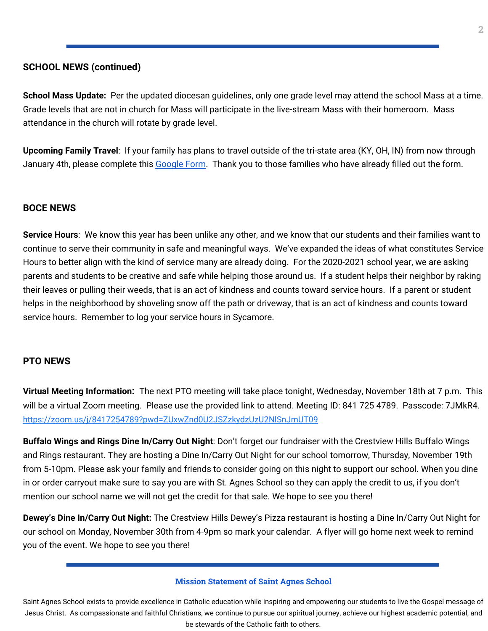# **SCHOOL NEWS (continued)**

**School Mass Update:** Per the updated diocesan guidelines, only one grade level may attend the school Mass at a time. Grade levels that are not in church for Mass will participate in the live-stream Mass with their homeroom. Mass attendance in the church will rotate by grade level.

**Upcoming Family Travel**: If your family has plans to travel outside of the tri-state area (KY, OH, IN) from now through January 4th, please complete this [Google](https://docs.google.com/forms/d/e/1FAIpQLSfFM-ZAlSxO2UPHBz7UuV56wGWfebAHwFLUEsy2NnajQKNbhA/viewform?usp=sf_link) Form. Thank you to those families who have already filled out the form.

# **BOCE NEWS**

**Service Hours**: We know this year has been unlike any other, and we know that our students and their families want to continue to serve their community in safe and meaningful ways. We've expanded the ideas of what constitutes Service Hours to better align with the kind of service many are already doing. For the 2020-2021 school year, we are asking parents and students to be creative and safe while helping those around us. If a student helps their neighbor by raking their leaves or pulling their weeds, that is an act of kindness and counts toward service hours. If a parent or student helps in the neighborhood by shoveling snow off the path or driveway, that is an act of kindness and counts toward service hours. Remember to log your service hours in Sycamore.

# **PTO NEWS**

**Virtual Meeting Information:** The next PTO meeting will take place tonight, Wednesday, November 18th at 7 p.m. This will be a virtual Zoom meeting. Please use the provided link to attend. Meeting ID: 841 725 4789. Passcode: 7JMkR4. <https://zoom.us/j/8417254789?pwd=ZUxwZnd0U2JSZzkydzUzU2NlSnJmUT09>

**Buffalo Wings and Rings Dine In/Carry Out Night**: Don't forget our fundraiser with the Crestview Hills Buffalo Wings and Rings restaurant. They are hosting a Dine In/Carry Out Night for our school tomorrow, Thursday, November 19th from 5-10pm. Please ask your family and friends to consider going on this night to support our school. When you dine in or order carryout make sure to say you are with St. Agnes School so they can apply the credit to us, if you don't mention our school name we will not get the credit for that sale. We hope to see you there!

**Dewey's Dine In/Carry Out Night:** The Crestview Hills Dewey's Pizza restaurant is hosting a Dine In/Carry Out Night for our school on Monday, November 30th from 4-9pm so mark your calendar. A flyer will go home next week to remind you of the event. We hope to see you there!

### **Mission Statement of Saint Agnes School**

Saint Agnes School exists to provide excellence in Catholic education while inspiring and empowering our students to live the Gospel message of Jesus Christ. As compassionate and faithful Christians, we continue to pursue our spiritual journey, achieve our highest academic potential, and be stewards of the Catholic faith to others.